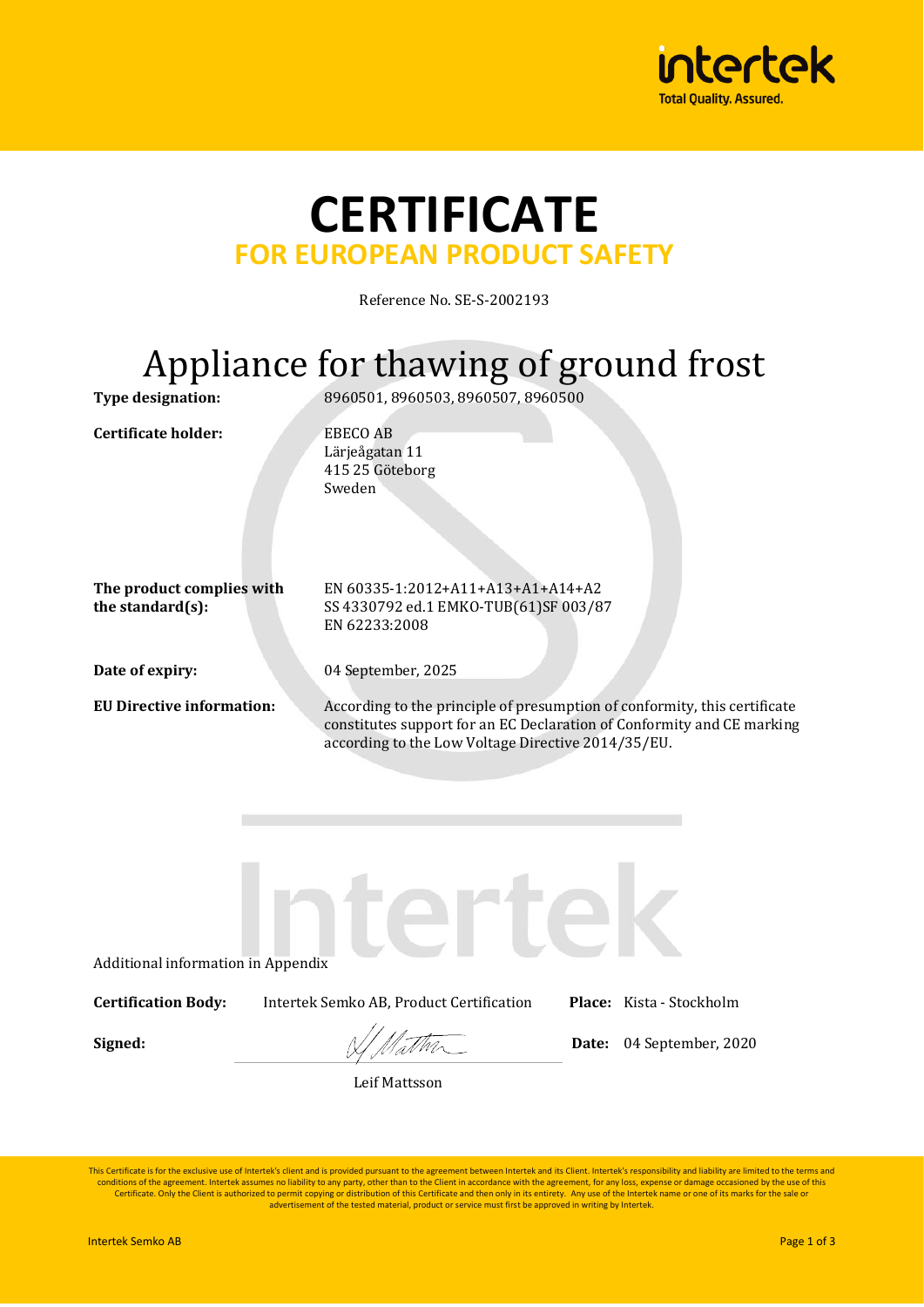

## **CERTIFICATE FOR EUROPEAN PRODUCT SAFETY**

Reference No. SE-S-2002193

# Appliance for thawing of ground frost

**Certificate holder:** EBECO AB

**Type designation:** 8960501, 8960503, 8960507, 8960500

Lärjeågatan 11 415 25 Göteborg Sweden

**The product complies with the standard(s):**

EN 60335-1:2012+A11+A13+A1+A14+A2 SS 4330792 ed.1 EMKO-TUB(61)SF 003/87 EN 62233:2008

**Date of expiry:** 04 September, 2025

**EU Directive information:** According to the principle of presumption of conformity, this certificate constitutes support for an EC Declaration of Conformity and CE marking according to the Low Voltage Directive 2014/35/EU.

Additional information in Appendix

**Certification Body:** Intertek Semko AB, Product Certification **Place:** Kista - Stockholm

**Signed:**  $\sqrt{\sqrt{M_{\odot}M_{\odot}}}$  Date: 04 September, 2020

Leif Mattsson

This Certificate is for the exclusive use of Intertek's client and is provided pursuant to the agreement between Intertek and its Client. Intertek's responsibility and liability are limited to the terms and conditions of the agreement. Intertek assumes no liability to any party, other than to the Client in accordance with the agreement, for any loss, expense or damage occasioned by the use of this<br>Certificate. Only the Client advertisement of the tested material, product or service must first be approved in writing by Intertek.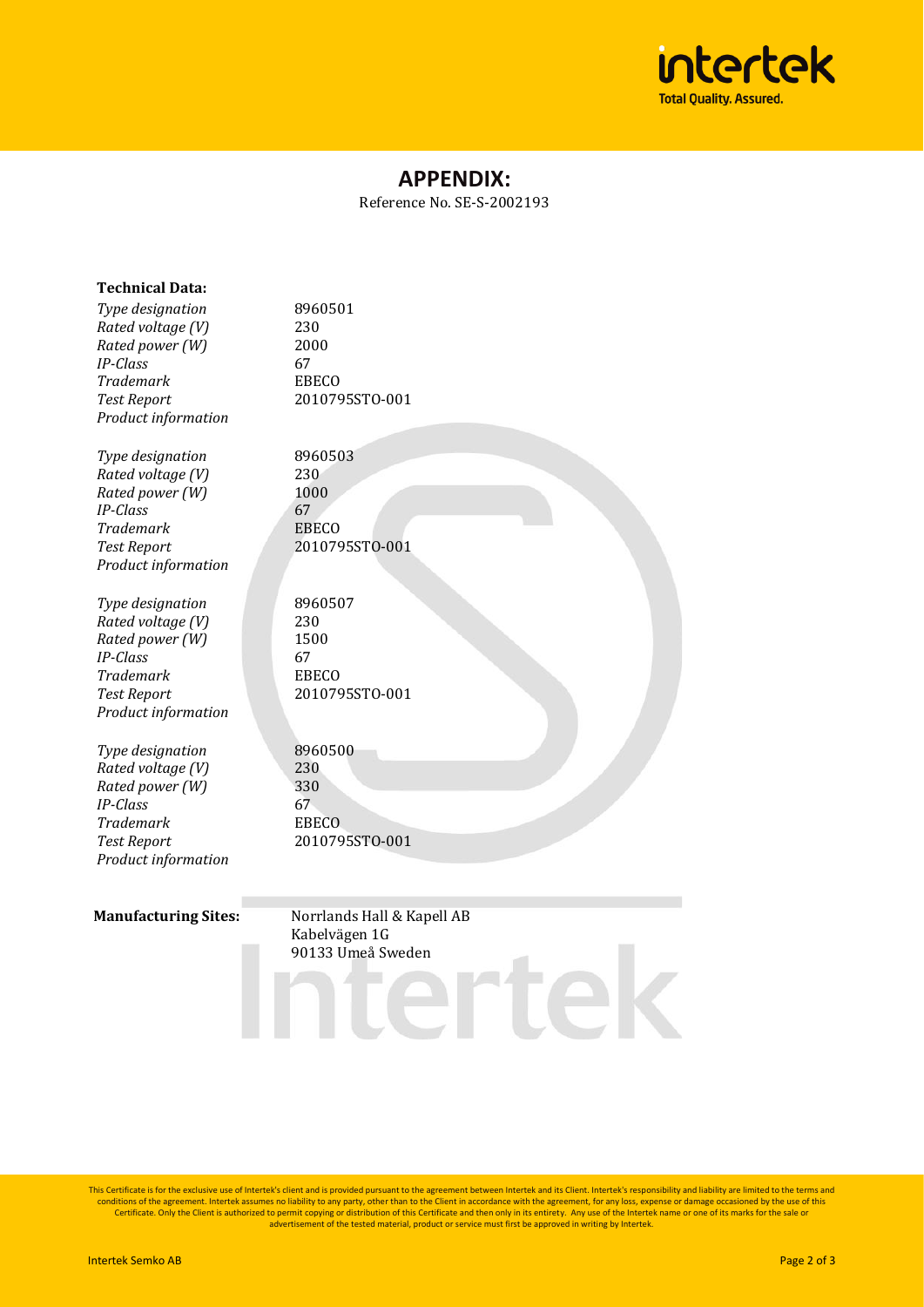

## **APPENDIX:**

Reference No. SE-S-2002193

| <b>Technical Data:</b><br>Type designation<br>Rated voltage (V)<br>Rated power (W)<br><b>IP-Class</b><br><b>Trademark</b><br><b>Test Report</b><br>Product information | 8960501<br>230<br>2000<br>67<br><b>EBECO</b><br>2010795STO-001 |
|------------------------------------------------------------------------------------------------------------------------------------------------------------------------|----------------------------------------------------------------|
| Type designation<br>Rated voltage (V)<br>Rated power (W)<br><b>IP-Class</b><br><b>Trademark</b><br><b>Test Report</b><br>Product information                           | 8960503<br>230<br>1000<br>67<br><b>EBECO</b><br>2010795STO-001 |
| Type designation<br>Rated voltage (V)<br>Rated power (W)<br><b>IP-Class</b><br><b>Trademark</b><br><b>Test Report</b><br>Product information                           | 8960507<br>230<br>1500<br>67<br><b>EBECO</b><br>2010795STO-001 |
| Type designation<br>Rated voltage (V)<br>Rated power (W)<br><b>IP-Class</b><br><b>Trademark</b><br><b>Test Report</b><br>Product information                           | 8960500<br>230<br>330<br>67<br><b>EBECO</b><br>2010795STO-001  |

**Manufacturing Sites:** Norrlands Hall & Kapell AB<br>Kabelvägen 1G Kabelvägen 1G 90133 Umeå Sweden

This Certificate is for the exclusive use of Intertek's client and is provided pursuant to the agreement between Intertek and its Client. Intertek's responsibility and liability are limited to the terms and conditions of the agreement. Intertek assumes no liability to any party, other than to the Client in accordance with the agreement, for any loss, expense or damage occasioned by the use of this<br>Certificate. Only the Client